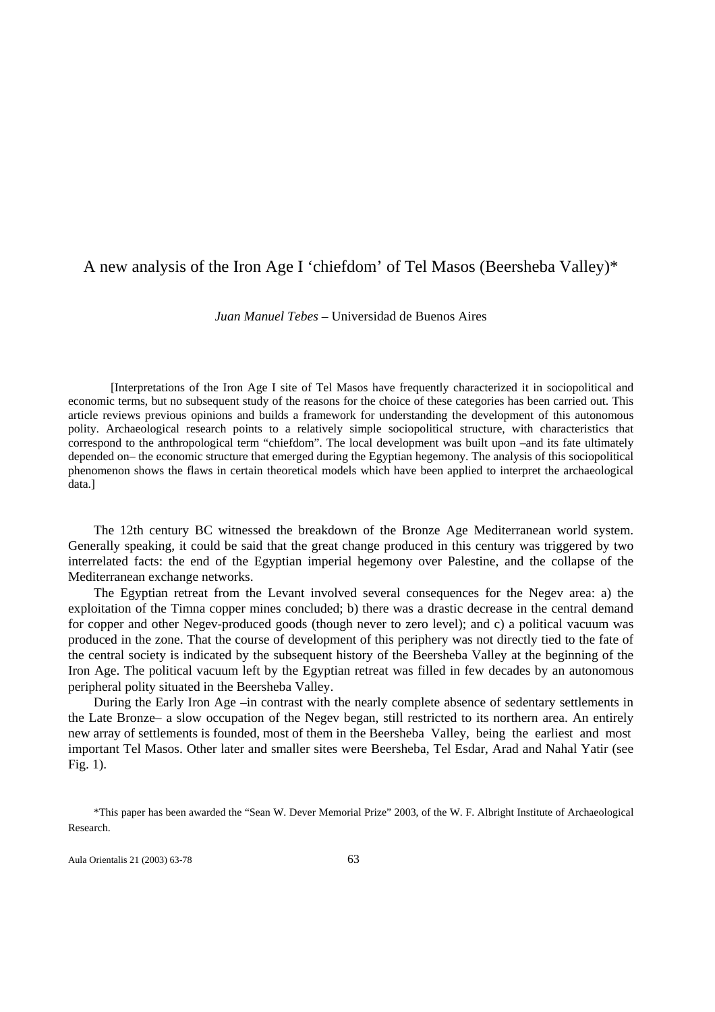# A new analysis of the Iron Age I 'chiefdom' of Tel Masos (Beersheba Valley)\*

*Juan Manuel Tebes* – Universidad de Buenos Aires

[Interpretations of the Iron Age I site of Tel Masos have frequently characterized it in sociopolitical and economic terms, but no subsequent study of the reasons for the choice of these categories has been carried out. This article reviews previous opinions and builds a framework for understanding the development of this autonomous polity. Archaeological research points to a relatively simple sociopolitical structure, with characteristics that correspond to the anthropological term "chiefdom". The local development was built upon –and its fate ultimately depended on– the economic structure that emerged during the Egyptian hegemony. The analysis of this sociopolitical phenomenon shows the flaws in certain theoretical models which have been applied to interpret the archaeological data.]

 The 12th century BC witnessed the breakdown of the Bronze Age Mediterranean world system. Generally speaking, it could be said that the great change produced in this century was triggered by two interrelated facts: the end of the Egyptian imperial hegemony over Palestine, and the collapse of the Mediterranean exchange networks.

 The Egyptian retreat from the Levant involved several consequences for the Negev area: a) the exploitation of the Timna copper mines concluded; b) there was a drastic decrease in the central demand for copper and other Negev-produced goods (though never to zero level); and c) a political vacuum was produced in the zone. That the course of development of this periphery was not directly tied to the fate of the central society is indicated by the subsequent history of the Beersheba Valley at the beginning of the Iron Age. The political vacuum left by the Egyptian retreat was filled in few decades by an autonomous peripheral polity situated in the Beersheba Valley.

 During the Early Iron Age –in contrast with the nearly complete absence of sedentary settlements in the Late Bronze– a slow occupation of the Negev began, still restricted to its northern area. An entirely new array of settlements is founded, most of them in the Beersheba Valley, being the earliest and most important Tel Masos. Other later and smaller sites were Beersheba, Tel Esdar, Arad and Nahal Yatir (see Fig. 1).

Aula Orientalis 21 (2003) 63-78 63

 <sup>\*</sup>This paper has been awarded the "Sean W. Dever Memorial Prize" 2003, of the W. F. Albright Institute of Archaeological Research.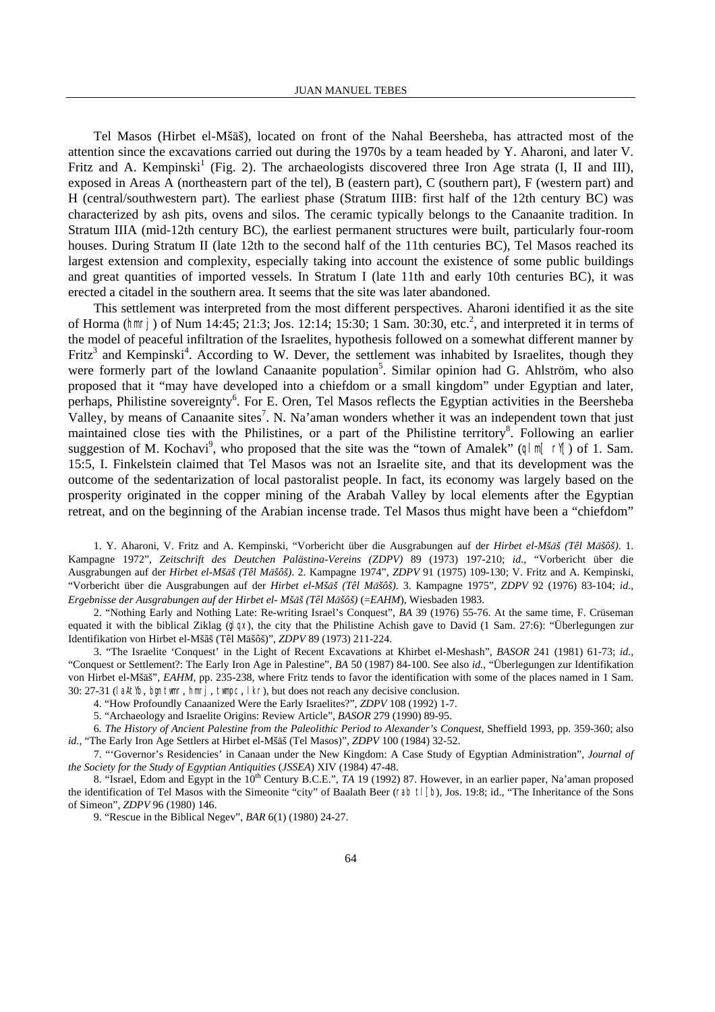Tel Masos (Hirbet el-Mšāš), located on front of the Nahal Beersheba, has attracted most of the attention since the excavations carried out during the 1970s by a team headed by Y. Aharoni, and later V. Fritz and A. Kempinski<sup>1</sup> (Fig. 2). The archaeologists discovered three Iron Age strata (I, II and III), exposed in Areas A (northeastern part of the tel), B (eastern part), C (southern part), F (western part) and H (central/southwestern part). The earliest phase (Stratum IIIB: first half of the 12th century BC) was characterized by ash pits, ovens and silos. The ceramic typically belongs to the Canaanite tradition. In Stratum IIIA (mid-12th century BC), the earliest permanent structures were built, particularly four-room houses. During Stratum II (late 12th to the second half of the 11th centuries BC), Tel Masos reached its largest extension and complexity, especially taking into account the existence of some public buildings and great quantities of imported vessels. In Stratum I (late 11th and early 10th centuries BC), it was erected a citadel in the southern area. It seems that the site was later abandoned.

 This settlement was interpreted from the most different perspectives. Aharoni identified it as the site of Horma (hmrj) of Num 14:45; 21:3; Jos. 12:14; 15:30; 1 Sam. 30:30, etc.<sup>2</sup>, and interpreted it in terms of the model of peaceful infiltration of the Israelites, hypothesis followed on a somewhat different manner by Fritz<sup>3</sup> and Kempinski<sup>4</sup>. According to W. Dever, the settlement was inhabited by Israelites, though they were formerly part of the lowland Canaanite population<sup>5</sup>. Similar opinion had G. Ahlström, who also proposed that it "may have developed into a chiefdom or a small kingdom" under Egyptian and later, perhaps, Philistine sovereignty<sup>6</sup>. For E. Oren, Tel Masos reflects the Egyptian activities in the Beersheba Valley, by means of Canaanite sites<sup>7</sup>. N. Na'aman wonders whether it was an independent town that just maintained close ties with the Philistines, or a part of the Philistine territory<sup>8</sup>. Following an earlier suggestion of M. Kochavi<sup>9</sup>, who proposed that the site was the "town of Amalek" ( $q | m[ r|$ ) of 1. Sam. 15:5, I. Finkelstein claimed that Tel Masos was not an Israelite site, and that its development was the outcome of the sedentarization of local pastoralist people. In fact, its economy was largely based on the prosperity originated in the copper mining of the Arabah Valley by local elements after the Egyptian retreat, and on the beginning of the Arabian incense trade. Tel Masos thus might have been a "chiefdom"

1. Y. Aharoni, V. Fritz and A. Kempinski, "Vorbericht über die Ausgrabungen auf der *Hirbet el-Mš¿š (Têl M¿šôš)*. 1. Kampagne 1972", *Zeitschrift des Deutchen Palästina-Vereins (ZDPV)* 89 (1973) 197-210; *id.*, "Vorbericht über die Ausgrabungen auf der *Hirbet el-Mš¿š (Têl M¿šôš)*. 2. Kampagne 1974", *ZDPV* 91 (1975) 109-130; V. Fritz and A. Kempinski, "Vorbericht über die Ausgrabungen auf der *Hirbet el-Mš¿š (Têl M¿šôš)*. 3. Kampagne 1975", *ZDPV* 92 (1976) 83-104; *id*., *Ergebnisse der Ausgrabungen auf der Hirbet el- Mš¿š (Têl M¿šôš)* (=*EAHM*), Wiesbaden 1983.

2. "Nothing Early and Nothing Late: Re-writing Israel's Conquest", *BA* 39 (1976) 55-76. At the same time, F. Crüseman equated it with the biblical Ziklag  $(q|qx)$ , the city that the Philistine Achish gave to David (1 Sam. 27:6): "Überlegungen zur Identifikation von Hirbet el-Mšãš (Têl Māšôš)", *ZDPV 89 (1973) 211-224*.

3. "The Israelite 'Conquest' in the Light of Recent Excavations at Khirbet el-Meshash", *BASOR* 241 (1981) 61-73; *id.*, "Conquest or Settlement?: The Early Iron Age in Palestine", *BA* 50 (1987) 84-100. See also *id.*, "Überlegungen zur Identifikation von Hirbet el-Mšāš", *EAHM*, pp. 235-238, where Fritz tends to favor the identification with some of the places named in 1 Sam. 30: 27-31 (laAtYb, bgn twmr, hmrj, twmpc, lkr), but does not reach any decisive conclusion.

4. "How Profoundly Canaanized Were the Early Israelites?", *ZDPV* 108 (1992) 1-7.

5. "Archaeology and Israelite Origins: Review Article", *BASOR* 279 (1990) 89-95.

6*. The History of Ancient Palestine from the Paleolithic Period to Alexander's Conquest*, Sheffield 1993, pp. 359-360; also *id.*, "The Early Iron Age Settlers at Hirbet el-Mšāš (Tel Masos)", *ZDPV* 100 (1984) 32-52.

7. "'Governor's Residencies' in Canaan under the New Kingdom: A Case Study of Egyptian Administration", *Journal of the Society for the Study of Egyptian Antiquities* (*JSSEA*) XIV (1984) 47-48.

8. "Israel, Edom and Egypt in the 10<sup>th</sup> Century B.C.E.", *TA* 19 (1992) 87. However, in an earlier paper, Na'aman proposed the identification of Tel Masos with the Simeonite "city" of Baalath Beer (rab  $\lfloor \lfloor b \rfloor$ , Jos. 19:8; id., "The Inheritance of the Sons of Simeon", *ZDPV* 96 (1980) 146.

9. "Rescue in the Biblical Negev", *BAR* 6(1) (1980) 24-27.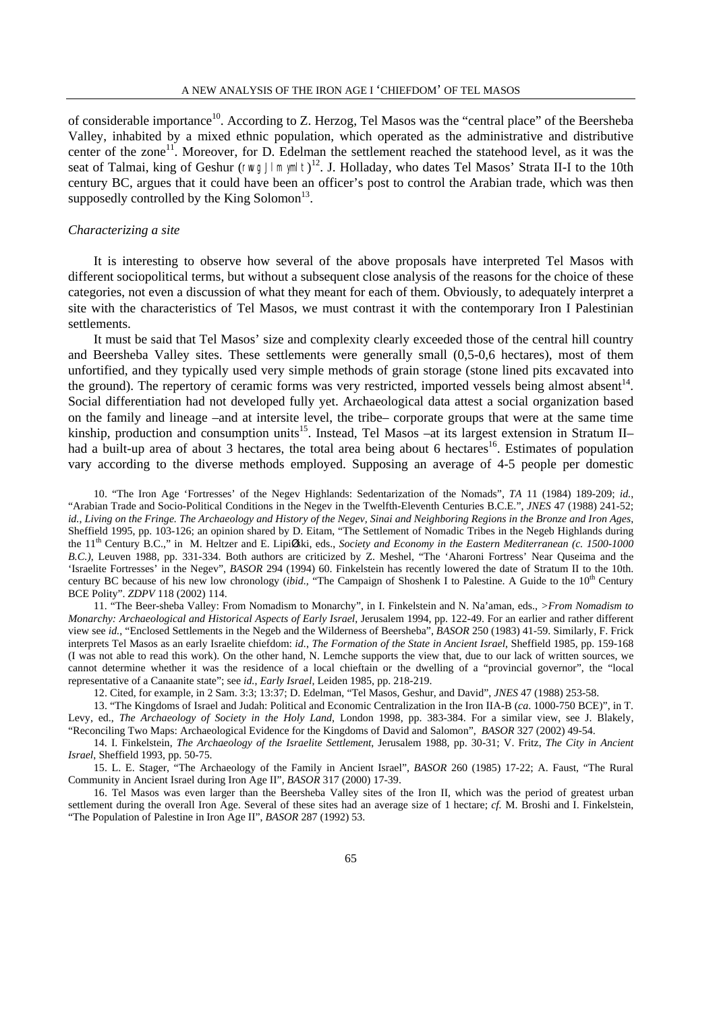of considerable importance<sup>10</sup>. According to Z. Herzog, Tel Masos was the "central place" of the Beersheba Valley, inhabited by a mixed ethnic population, which operated as the administrative and distributive center of the zone<sup>11</sup>. Moreover, for D. Edelman the settlement reached the statehood level, as it was the seat of Talmai, king of Geshur (rwvg Jlm ymlt) 12. J. Holladay, who dates Tel Masos' Strata II-I to the 10th century BC, argues that it could have been an officer's post to control the Arabian trade, which was then supposedly controlled by the King Solomon<sup>13</sup>.

### *Characterizing a site*

 It is interesting to observe how several of the above proposals have interpreted Tel Masos with different sociopolitical terms, but without a subsequent close analysis of the reasons for the choice of these categories, not even a discussion of what they meant for each of them. Obviously, to adequately interpret a site with the characteristics of Tel Masos, we must contrast it with the contemporary Iron I Palestinian settlements.

 It must be said that Tel Masos' size and complexity clearly exceeded those of the central hill country and Beersheba Valley sites. These settlements were generally small (0,5-0,6 hectares), most of them unfortified, and they typically used very simple methods of grain storage (stone lined pits excavated into the ground). The repertory of ceramic forms was very restricted, imported vessels being almost absent<sup>14</sup>. Social differentiation had not developed fully yet. Archaeological data attest a social organization based on the family and lineage –and at intersite level, the tribe– corporate groups that were at the same time kinship, production and consumption units<sup>15</sup>. Instead, Tel Masos –at its largest extension in Stratum II– had a built-up area of about 3 hectares, the total area being about 6 hectares<sup>16</sup>. Estimates of population vary according to the diverse methods employed. Supposing an average of 4-5 people per domestic

10. "The Iron Age 'Fortresses' of the Negev Highlands: Sedentarization of the Nomads", *TA* 11 (1984) 189-209; *id.*, "Arabian Trade and Socio-Political Conditions in the Negev in the Twelfth-Eleventh Centuries B.C.E.", *JNES* 47 (1988) 241-52; *id.*, *Living on the Fringe. The Archaeology and History of the Negev, Sinai and Neighboring Regions in the Bronze and Iron Ages*, Sheffield 1995, pp. 103-126; an opinion shared by D. Eitam, "The Settlement of Nomadic Tribes in the Negeb Highlands during the 11<sup>th</sup> Century B.C.," in M. Heltzer and E. LipiØski, eds., *Society and Economy in the Eastern Mediterranean (c. 1500-1000 B.C.)*, Leuven 1988, pp. 331-334. Both authors are criticized by Z. Meshel, "The 'Aharoni Fortress' Near Quseima and the 'Israelite Fortresses' in the Negev", *BASOR* 294 (1994) 60. Finkelstein has recently lowered the date of Stratum II to the 10th. century BC because of his new low chronology (*ibid.,* "The Campaign of Shoshenk I to Palestine. A Guide to the 10<sup>th</sup> Century BCE Polity". *ZDPV* 118 (2002) 114.

11. "The Beer-sheba Valley: From Nomadism to Monarchy", in I. Finkelstein and N. Na'aman, eds., *>From Nomadism to Monarchy: Archaeological and Historical Aspects of Early Israel*, Jerusalem 1994, pp. 122-49. For an earlier and rather different view see *id.*, "Enclosed Settlements in the Negeb and the Wilderness of Beersheba", *BASOR* 250 (1983) 41-59. Similarly, F. Frick interprets Tel Masos as an early Israelite chiefdom: *id.*, *The Formation of the State in Ancient Israel*, Sheffield 1985, pp. 159-168 (I was not able to read this work). On the other hand, N. Lemche supports the view that, due to our lack of written sources, we cannot determine whether it was the residence of a local chieftain or the dwelling of a "provincial governor", the "local representative of a Canaanite state"; see *id.*, *Early Israel*, Leiden 1985, pp. 218-219.

12. Cited, for example, in 2 Sam. 3:3; 13:37; D. Edelman, "Tel Masos, Geshur, and David", *JNES* 47 (1988) 253-58.

13. "The Kingdoms of Israel and Judah: Political and Economic Centralization in the Iron IIA-B (*ca*. 1000-750 BCE)", in T. Levy, ed., *The Archaeology of Society in the Holy Land*, London 1998, pp. 383-384. For a similar view, see J. Blakely, "Reconciling Two Maps: Archaeological Evidence for the Kingdoms of David and Salomon", *BASOR* 327 (2002) 49-54.

14. I. Finkelstein, *The Archaeology of the Israelite Settlement*, Jerusalem 1988, pp. 30-31; V. Fritz, *The City in Ancient Israel*, Sheffield 1993, pp. 50-75.

15. L. E. Stager, "The Archaeology of the Family in Ancient Israel", *BASOR* 260 (1985) 17-22; A. Faust, "The Rural Community in Ancient Israel during Iron Age II", *BASOR* 317 (2000) 17-39.

16. Tel Masos was even larger than the Beersheba Valley sites of the Iron II, which was the period of greatest urban settlement during the overall Iron Age. Several of these sites had an average size of 1 hectare; *cf.* M. Broshi and I. Finkelstein, "The Population of Palestine in Iron Age II", *BASOR* 287 (1992) 53.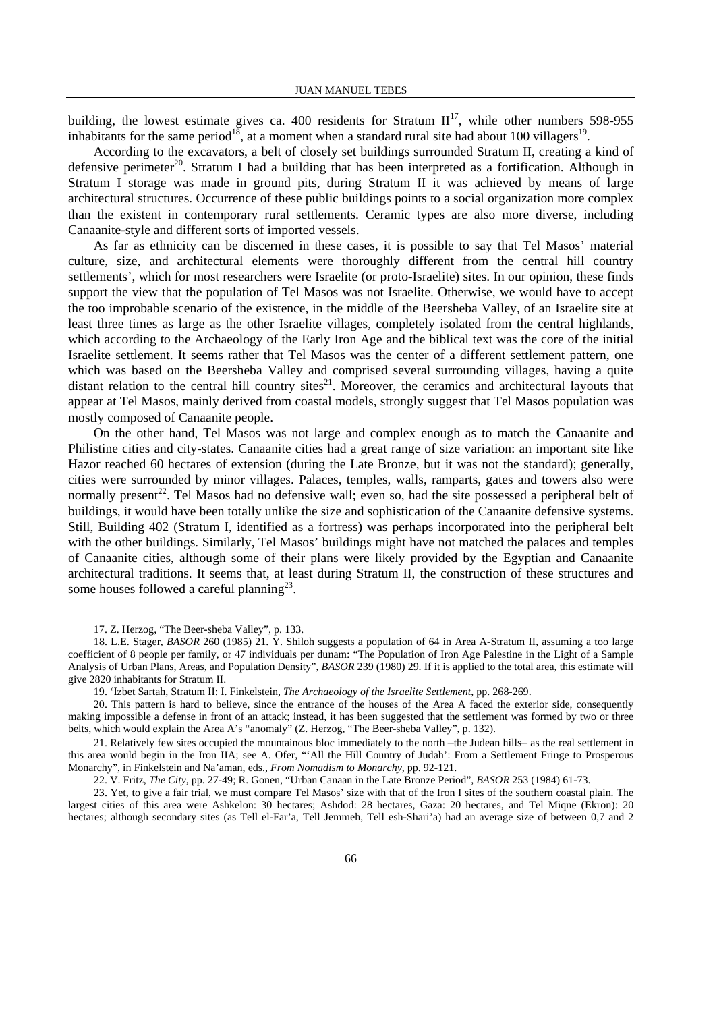building, the lowest estimate gives ca. 400 residents for Stratum  $II<sup>17</sup>$ , while other numbers 598-955 inhabitants for the same period<sup>18</sup>, at a moment when a standard rural site had about 100 villagers<sup>19</sup>.

 According to the excavators, a belt of closely set buildings surrounded Stratum II, creating a kind of defensive perimeter<sup>20</sup>. Stratum I had a building that has been interpreted as a fortification. Although in Stratum I storage was made in ground pits, during Stratum II it was achieved by means of large architectural structures. Occurrence of these public buildings points to a social organization more complex than the existent in contemporary rural settlements. Ceramic types are also more diverse, including Canaanite-style and different sorts of imported vessels.

 As far as ethnicity can be discerned in these cases, it is possible to say that Tel Masos' material culture, size, and architectural elements were thoroughly different from the central hill country settlements', which for most researchers were Israelite (or proto-Israelite) sites. In our opinion, these finds support the view that the population of Tel Masos was not Israelite. Otherwise, we would have to accept the too improbable scenario of the existence, in the middle of the Beersheba Valley, of an Israelite site at least three times as large as the other Israelite villages, completely isolated from the central highlands, which according to the Archaeology of the Early Iron Age and the biblical text was the core of the initial Israelite settlement. It seems rather that Tel Masos was the center of a different settlement pattern, one which was based on the Beersheba Valley and comprised several surrounding villages, having a quite distant relation to the central hill country sites<sup>21</sup>. Moreover, the ceramics and architectural layouts that appear at Tel Masos, mainly derived from coastal models, strongly suggest that Tel Masos population was mostly composed of Canaanite people.

 On the other hand, Tel Masos was not large and complex enough as to match the Canaanite and Philistine cities and city-states. Canaanite cities had a great range of size variation: an important site like Hazor reached 60 hectares of extension (during the Late Bronze, but it was not the standard); generally, cities were surrounded by minor villages. Palaces, temples, walls, ramparts, gates and towers also were normally present<sup>22</sup>. Tel Masos had no defensive wall; even so, had the site possessed a peripheral belt of buildings, it would have been totally unlike the size and sophistication of the Canaanite defensive systems. Still, Building 402 (Stratum I, identified as a fortress) was perhaps incorporated into the peripheral belt with the other buildings. Similarly, Tel Masos' buildings might have not matched the palaces and temples of Canaanite cities, although some of their plans were likely provided by the Egyptian and Canaanite architectural traditions. It seems that, at least during Stratum II, the construction of these structures and some houses followed a careful planning<sup>23</sup>.

17. Z. Herzog, "The Beer-sheba Valley", p. 133.

18. L.E. Stager, *BASOR* 260 (1985) 21. Y. Shiloh suggests a population of 64 in Area A-Stratum II, assuming a too large coefficient of 8 people per family, or 47 individuals per dunam: "The Population of Iron Age Palestine in the Light of a Sample Analysis of Urban Plans, Areas, and Population Density", *BASOR* 239 (1980) 29. If it is applied to the total area, this estimate will give 2820 inhabitants for Stratum II.

19. 'Izbet Sartah, Stratum II: I. Finkelstein, *The Archaeology of the Israelite Settlement*, pp. 268-269.

20. This pattern is hard to believe, since the entrance of the houses of the Area A faced the exterior side, consequently making impossible a defense in front of an attack; instead, it has been suggested that the settlement was formed by two or three belts, which would explain the Area A's "anomaly" (Z. Herzog, "The Beer-sheba Valley", p. 132).

21. Relatively few sites occupied the mountainous bloc immediately to the north –the Judean hills– as the real settlement in this area would begin in the Iron IIA; see A. Ofer, "'All the Hill Country of Judah': From a Settlement Fringe to Prosperous Monarchy", in Finkelstein and Na'aman, eds., *From Nomadism to Monarchy,* pp. 92-121.

22. V. Fritz, *The City,* pp. 27-49; R. Gonen, "Urban Canaan in the Late Bronze Period", *BASOR* 253 (1984) 61-73.

23. Yet, to give a fair trial, we must compare Tel Masos' size with that of the Iron I sites of the southern coastal plain. The largest cities of this area were Ashkelon: 30 hectares; Ashdod: 28 hectares, Gaza: 20 hectares, and Tel Miqne (Ekron): 20 hectares; although secondary sites (as Tell el-Far'a, Tell Jemmeh, Tell esh-Shari'a) had an average size of between 0,7 and 2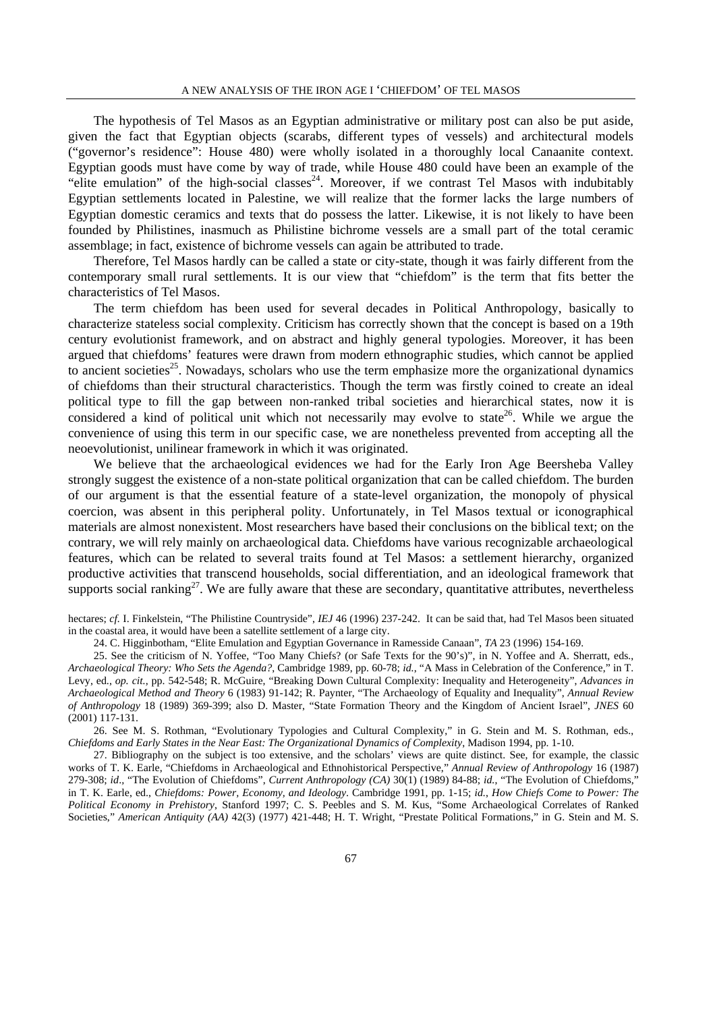The hypothesis of Tel Masos as an Egyptian administrative or military post can also be put aside, given the fact that Egyptian objects (scarabs, different types of vessels) and architectural models ("governor's residence": House 480) were wholly isolated in a thoroughly local Canaanite context. Egyptian goods must have come by way of trade, while House 480 could have been an example of the "elite emulation" of the high-social classes<sup>24</sup>. Moreover, if we contrast Tel Masos with indubitably Egyptian settlements located in Palestine, we will realize that the former lacks the large numbers of Egyptian domestic ceramics and texts that do possess the latter. Likewise, it is not likely to have been founded by Philistines, inasmuch as Philistine bichrome vessels are a small part of the total ceramic assemblage; in fact, existence of bichrome vessels can again be attributed to trade.

 Therefore, Tel Masos hardly can be called a state or city-state, though it was fairly different from the contemporary small rural settlements. It is our view that "chiefdom" is the term that fits better the characteristics of Tel Masos.

 The term chiefdom has been used for several decades in Political Anthropology, basically to characterize stateless social complexity. Criticism has correctly shown that the concept is based on a 19th century evolutionist framework, and on abstract and highly general typologies. Moreover, it has been argued that chiefdoms' features were drawn from modern ethnographic studies, which cannot be applied to ancient societies<sup>25</sup>. Nowadays, scholars who use the term emphasize more the organizational dynamics of chiefdoms than their structural characteristics. Though the term was firstly coined to create an ideal political type to fill the gap between non-ranked tribal societies and hierarchical states, now it is considered a kind of political unit which not necessarily may evolve to state<sup>26</sup>. While we argue the convenience of using this term in our specific case, we are nonetheless prevented from accepting all the neoevolutionist, unilinear framework in which it was originated.

 We believe that the archaeological evidences we had for the Early Iron Age Beersheba Valley strongly suggest the existence of a non-state political organization that can be called chiefdom. The burden of our argument is that the essential feature of a state-level organization, the monopoly of physical coercion, was absent in this peripheral polity. Unfortunately, in Tel Masos textual or iconographical materials are almost nonexistent. Most researchers have based their conclusions on the biblical text; on the contrary, we will rely mainly on archaeological data. Chiefdoms have various recognizable archaeological features, which can be related to several traits found at Tel Masos: a settlement hierarchy, organized productive activities that transcend households, social differentiation, and an ideological framework that supports social ranking<sup>27</sup>. We are fully aware that these are secondary, quantitative attributes, nevertheless

hectares; *cf.* I. Finkelstein, "The Philistine Countryside", *IEJ* 46 (1996) 237-242. It can be said that, had Tel Masos been situated in the coastal area, it would have been a satellite settlement of a large city.

24. C. Higginbotham, "Elite Emulation and Egyptian Governance in Ramesside Canaan", *TA* 23 (1996) 154-169.

25. See the criticism of N. Yoffee, "Too Many Chiefs? (or Safe Texts for the 90's)", in N. Yoffee and A. Sherratt, eds., *Archaeological Theory: Who Sets the Agenda?*, Cambridge 1989, pp. 60-78; *id.*, "A Mass in Celebration of the Conference," in T. Levy, ed., *op. cit.*, pp. 542-548; R. McGuire, "Breaking Down Cultural Complexity: Inequality and Heterogeneity", *Advances in Archaeological Method and Theory* 6 (1983) 91-142; R. Paynter, "The Archaeology of Equality and Inequality", *Annual Review of Anthropology* 18 (1989) 369-399; also D. Master, "State Formation Theory and the Kingdom of Ancient Israel", *JNES* 60 (2001) 117-131.

26. See M. S. Rothman, "Evolutionary Typologies and Cultural Complexity," in G. Stein and M. S. Rothman, eds., *Chiefdoms and Early States in the Near East: The Organizational Dynamics of Complexity*, Madison 1994, pp. 1-10.

27. Bibliography on the subject is too extensive, and the scholars' views are quite distinct. See, for example, the classic works of T. K. Earle, "Chiefdoms in Archaeological and Ethnohistorical Perspective," *Annual Review of Anthropology* 16 (1987) 279-308; *id*.*,* "The Evolution of Chiefdoms", *Current Anthropology (CA)* 30(1) (1989) 84-88; *id.*, "The Evolution of Chiefdoms," in T. K. Earle, ed., *Chiefdoms: Power, Economy, and Ideology*. Cambridge 1991, pp. 1-15; *id.*, *How Chiefs Come to Power: The Political Economy in Prehistory*, Stanford 1997; C. S. Peebles and S. M. Kus, "Some Archaeological Correlates of Ranked Societies," *American Antiquity (AA)* 42(3) (1977) 421-448; H. T. Wright, "Prestate Political Formations," in G. Stein and M. S.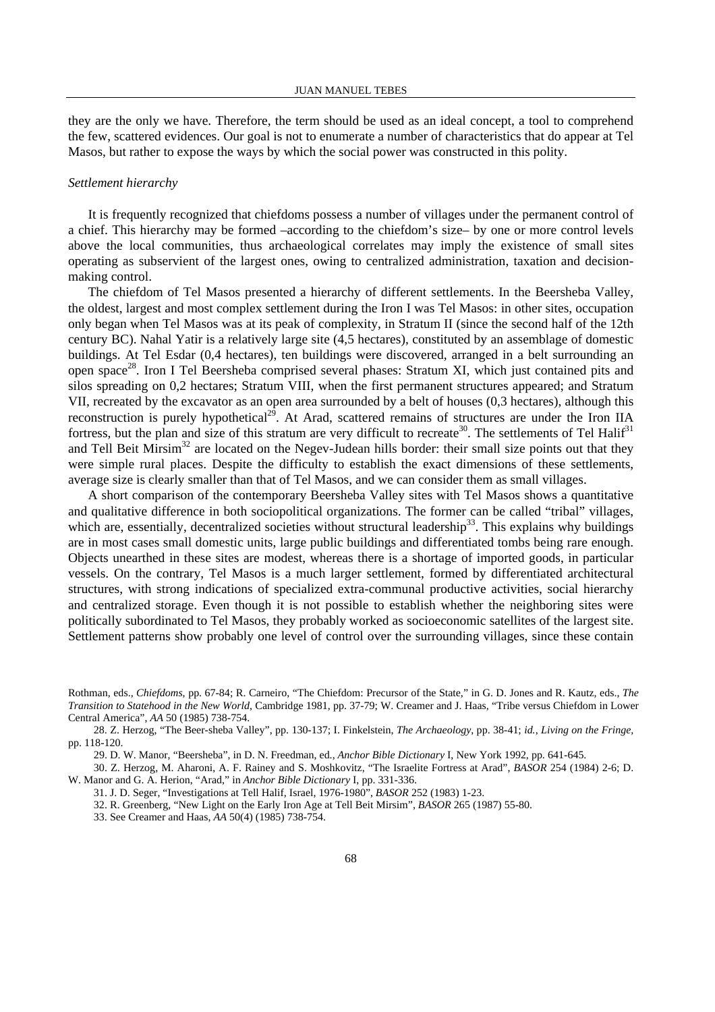they are the only we have. Therefore, the term should be used as an ideal concept, a tool to comprehend the few, scattered evidences. Our goal is not to enumerate a number of characteristics that do appear at Tel Masos, but rather to expose the ways by which the social power was constructed in this polity.

### *Settlement hierarchy*

 It is frequently recognized that chiefdoms possess a number of villages under the permanent control of a chief. This hierarchy may be formed –according to the chiefdom's size– by one or more control levels above the local communities, thus archaeological correlates may imply the existence of small sites operating as subservient of the largest ones, owing to centralized administration, taxation and decisionmaking control.

 The chiefdom of Tel Masos presented a hierarchy of different settlements. In the Beersheba Valley, the oldest, largest and most complex settlement during the Iron I was Tel Masos: in other sites, occupation only began when Tel Masos was at its peak of complexity, in Stratum II (since the second half of the 12th century BC). Nahal Yatir is a relatively large site (4,5 hectares), constituted by an assemblage of domestic buildings. At Tel Esdar (0,4 hectares), ten buildings were discovered, arranged in a belt surrounding an open space28. Iron I Tel Beersheba comprised several phases: Stratum XI, which just contained pits and silos spreading on 0,2 hectares; Stratum VIII, when the first permanent structures appeared; and Stratum VII, recreated by the excavator as an open area surrounded by a belt of houses (0,3 hectares), although this reconstruction is purely hypothetical<sup>29</sup>. At Arad, scattered remains of structures are under the Iron IIA fortress, but the plan and size of this stratum are very difficult to recreate<sup>30</sup>. The settlements of Tel Halif<sup>31</sup> and Tell Beit Mirsim<sup>32</sup> are located on the Negev-Judean hills border: their small size points out that they were simple rural places. Despite the difficulty to establish the exact dimensions of these settlements, average size is clearly smaller than that of Tel Masos, and we can consider them as small villages.

 A short comparison of the contemporary Beersheba Valley sites with Tel Masos shows a quantitative and qualitative difference in both sociopolitical organizations. The former can be called "tribal" villages, which are, essentially, decentralized societies without structural leadership<sup>33</sup>. This explains why buildings are in most cases small domestic units, large public buildings and differentiated tombs being rare enough. Objects unearthed in these sites are modest, whereas there is a shortage of imported goods, in particular vessels. On the contrary, Tel Masos is a much larger settlement, formed by differentiated architectural structures, with strong indications of specialized extra-communal productive activities, social hierarchy and centralized storage. Even though it is not possible to establish whether the neighboring sites were politically subordinated to Tel Masos, they probably worked as socioeconomic satellites of the largest site. Settlement patterns show probably one level of control over the surrounding villages, since these contain

30. Z. Herzog, M. Aharoni, A. F. Rainey and S. Moshkovitz, "The Israelite Fortress at Arad", *BASOR* 254 (1984) 2-6; D. W. Manor and G. A. Herion, "Arad," in *Anchor Bible Dictionary* I, pp. 331-336.

31. J. D. Seger, "Investigations at Tell Halif, Israel, 1976-1980", *BASOR* 252 (1983) 1-23.

32. R. Greenberg, "New Light on the Early Iron Age at Tell Beit Mirsim", *BASOR* 265 (1987) 55-80.

33. See Creamer and Haas, *AA* 50(4) (1985) 738-754.

Rothman, eds., *Chiefdoms*, pp. 67-84; R. Carneiro, "The Chiefdom: Precursor of the State," in G. D. Jones and R. Kautz, eds., *The Transition to Statehood in the New World*, Cambridge 1981, pp. 37-79; W. Creamer and J. Haas, "Tribe versus Chiefdom in Lower Central America", *AA* 50 (1985) 738-754.

<sup>28.</sup> Z. Herzog, "The Beer-sheba Valley", pp. 130-137; I. Finkelstein, *The Archaeology,* pp. 38-41; *id.*, *Living on the Fringe,* pp. 118-120.

<sup>29.</sup> D. W. Manor, "Beersheba", in D. N. Freedman, ed., *Anchor Bible Dictionary* I, New York 1992, pp. 641-645.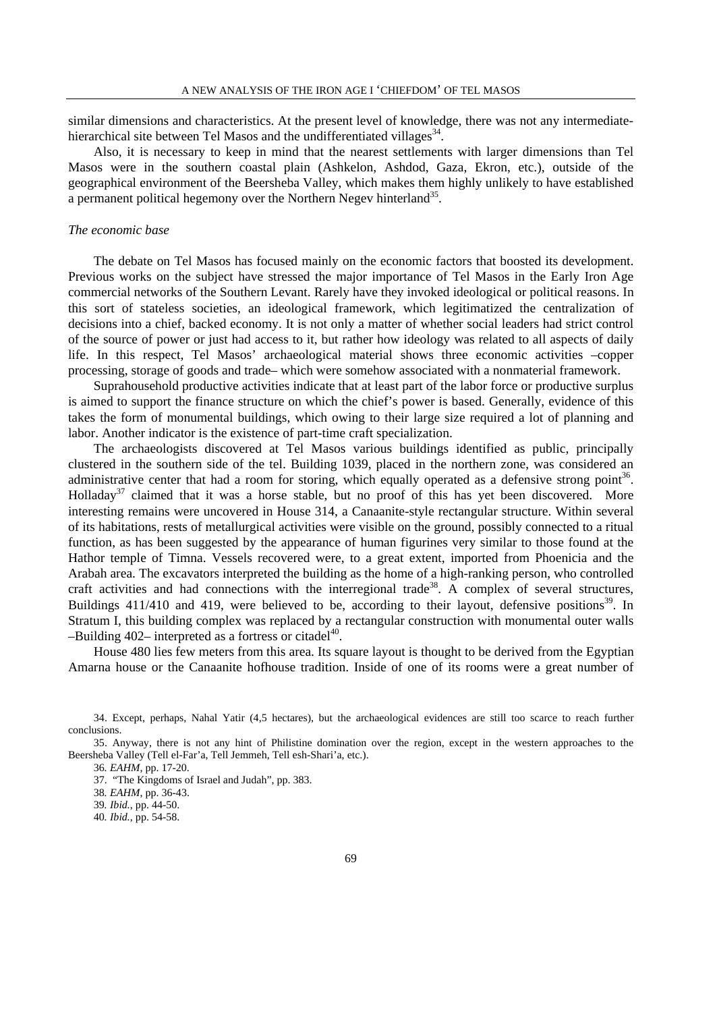similar dimensions and characteristics. At the present level of knowledge, there was not any intermediatehierarchical site between Tel Masos and the undifferentiated villages<sup>34</sup>.

 Also, it is necessary to keep in mind that the nearest settlements with larger dimensions than Tel Masos were in the southern coastal plain (Ashkelon, Ashdod, Gaza, Ekron, etc.), outside of the geographical environment of the Beersheba Valley, which makes them highly unlikely to have established a permanent political hegemony over the Northern Negev hinterland<sup>35</sup>.

### *The economic base*

 The debate on Tel Masos has focused mainly on the economic factors that boosted its development. Previous works on the subject have stressed the major importance of Tel Masos in the Early Iron Age commercial networks of the Southern Levant. Rarely have they invoked ideological or political reasons. In this sort of stateless societies, an ideological framework, which legitimatized the centralization of decisions into a chief, backed economy. It is not only a matter of whether social leaders had strict control of the source of power or just had access to it, but rather how ideology was related to all aspects of daily life. In this respect, Tel Masos' archaeological material shows three economic activities –copper processing, storage of goods and trade– which were somehow associated with a nonmaterial framework.

 Suprahousehold productive activities indicate that at least part of the labor force or productive surplus is aimed to support the finance structure on which the chief's power is based. Generally, evidence of this takes the form of monumental buildings, which owing to their large size required a lot of planning and labor. Another indicator is the existence of part-time craft specialization.

 The archaeologists discovered at Tel Masos various buildings identified as public, principally clustered in the southern side of the tel. Building 1039, placed in the northern zone, was considered an administrative center that had a room for storing, which equally operated as a defensive strong point<sup>36</sup>. Holladay<sup>37</sup> claimed that it was a horse stable, but no proof of this has yet been discovered. More interesting remains were uncovered in House 314, a Canaanite-style rectangular structure. Within several of its habitations, rests of metallurgical activities were visible on the ground, possibly connected to a ritual function, as has been suggested by the appearance of human figurines very similar to those found at the Hathor temple of Timna. Vessels recovered were, to a great extent, imported from Phoenicia and the Arabah area. The excavators interpreted the building as the home of a high-ranking person, who controlled craft activities and had connections with the interregional trade<sup>38</sup>. A complex of several structures, Buildings  $411/410$  and  $419$ , were believed to be, according to their layout, defensive positions<sup>39</sup>. In Stratum I, this building complex was replaced by a rectangular construction with monumental outer walls –Building 402– interpreted as a fortress or citadel<sup>40</sup>.

 House 480 lies few meters from this area. Its square layout is thought to be derived from the Egyptian Amarna house or the Canaanite hofhouse tradition. Inside of one of its rooms were a great number of

<sup>34.</sup> Except, perhaps, Nahal Yatir (4,5 hectares), but the archaeological evidences are still too scarce to reach further conclusions.

<sup>35.</sup> Anyway, there is not any hint of Philistine domination over the region, except in the western approaches to the Beersheba Valley (Tell el-Far'a, Tell Jemmeh, Tell esh-Shari'a, etc.).

<sup>36</sup>*. EAHM,* pp. 17-20. 37. "The Kingdoms of Israel and Judah", pp. 383.

<sup>38</sup>*. EAHM*, pp. 36-43.

<sup>39</sup>*. Ibid.*, pp. 44-50.

<sup>40</sup>*. Ibid.*, pp. 54-58.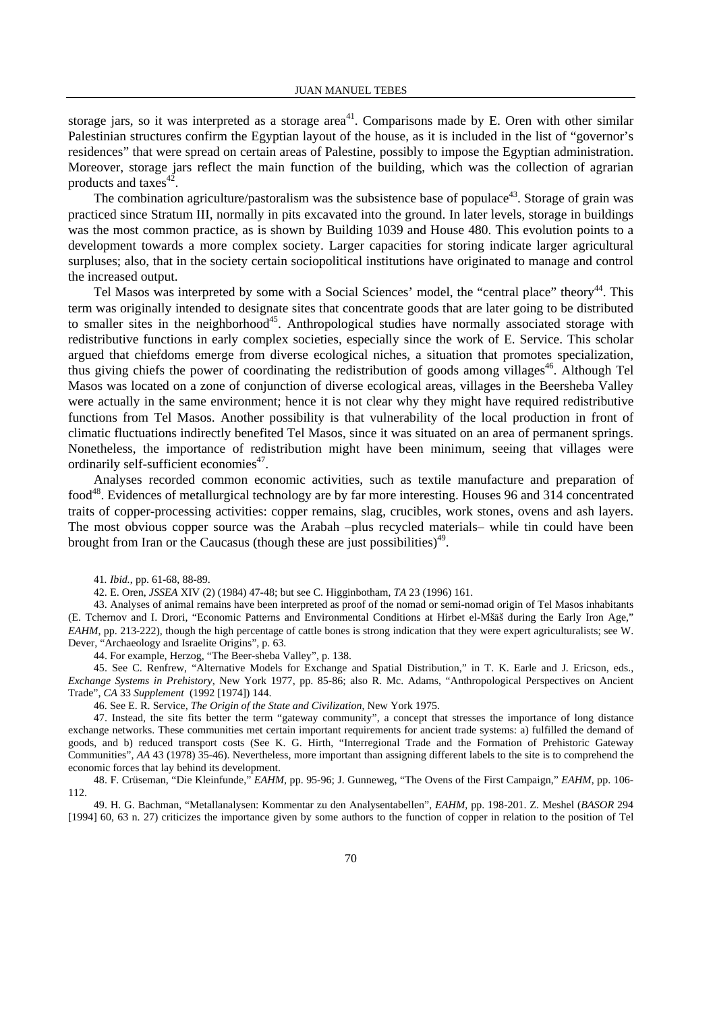storage jars, so it was interpreted as a storage area<sup>41</sup>. Comparisons made by E. Oren with other similar Palestinian structures confirm the Egyptian layout of the house, as it is included in the list of "governor's residences" that were spread on certain areas of Palestine, possibly to impose the Egyptian administration. Moreover, storage jars reflect the main function of the building, which was the collection of agrarian products and taxes $42$ .

The combination agriculture/pastoralism was the subsistence base of populace<sup>43</sup>. Storage of grain was practiced since Stratum III, normally in pits excavated into the ground. In later levels, storage in buildings was the most common practice, as is shown by Building 1039 and House 480. This evolution points to a development towards a more complex society. Larger capacities for storing indicate larger agricultural surpluses; also, that in the society certain sociopolitical institutions have originated to manage and control the increased output.

Tel Masos was interpreted by some with a Social Sciences' model, the "central place" theory<sup>44</sup>. This term was originally intended to designate sites that concentrate goods that are later going to be distributed to smaller sites in the neighborhood<sup>45</sup>. Anthropological studies have normally associated storage with redistributive functions in early complex societies, especially since the work of E. Service. This scholar argued that chiefdoms emerge from diverse ecological niches, a situation that promotes specialization, thus giving chiefs the power of coordinating the redistribution of goods among villages<sup>46</sup>. Although Tel Masos was located on a zone of conjunction of diverse ecological areas, villages in the Beersheba Valley were actually in the same environment; hence it is not clear why they might have required redistributive functions from Tel Masos. Another possibility is that vulnerability of the local production in front of climatic fluctuations indirectly benefited Tel Masos, since it was situated on an area of permanent springs. Nonetheless, the importance of redistribution might have been minimum, seeing that villages were ordinarily self-sufficient economies<sup>47</sup>.

 Analyses recorded common economic activities, such as textile manufacture and preparation of food48. Evidences of metallurgical technology are by far more interesting. Houses 96 and 314 concentrated traits of copper-processing activities: copper remains, slag, crucibles, work stones, ovens and ash layers. The most obvious copper source was the Arabah –plus recycled materials– while tin could have been brought from Iran or the Caucasus (though these are just possibilities)<sup>49</sup>.

41*. Ibid.*, pp. 61-68, 88-89.

42. E. Oren, *JSSEA* XIV (2) (1984) 47-48; but see C. Higginbotham, *TA* 23 (1996) 161.

43. Analyses of animal remains have been interpreted as proof of the nomad or semi-nomad origin of Tel Masos inhabitants (E. Tchernov and I. Drori, "Economic Patterns and Environmental Conditions at Hirbet el-Mšāš during the Early Iron Age," *EAHM*, pp. 213-222), though the high percentage of cattle bones is strong indication that they were expert agriculturalists; see W. Dever, "Archaeology and Israelite Origins", p. 63.

44. For example, Herzog, "The Beer-sheba Valley", p. 138.

45. See C. Renfrew, "Alternative Models for Exchange and Spatial Distribution," in T. K. Earle and J. Ericson, eds., *Exchange Systems in Prehistory*, New York 1977, pp. 85-86; also R. Mc. Adams, "Anthropological Perspectives on Ancient Trade", *CA* 33 *Supplement* (1992 [1974]) 144.

46. See E. R. Service, *The Origin of the State and Civilization*, New York 1975.

47. Instead, the site fits better the term "gateway community", a concept that stresses the importance of long distance exchange networks. These communities met certain important requirements for ancient trade systems: a) fulfilled the demand of goods, and b) reduced transport costs (See K. G. Hirth, "Interregional Trade and the Formation of Prehistoric Gateway Communities", *AA* 43 (1978) 35-46). Nevertheless, more important than assigning different labels to the site is to comprehend the economic forces that lay behind its development.

48. F. Crüseman, "Die Kleinfunde," *EAHM*, pp. 95-96; J. Gunneweg, "The Ovens of the First Campaign," *EAHM*, pp. 106- 112.

49. H. G. Bachman, "Metallanalysen: Kommentar zu den Analysentabellen", *EAHM,* pp. 198-201. Z. Meshel (*BASOR* 294 [1994] 60, 63 n. 27) criticizes the importance given by some authors to the function of copper in relation to the position of Tel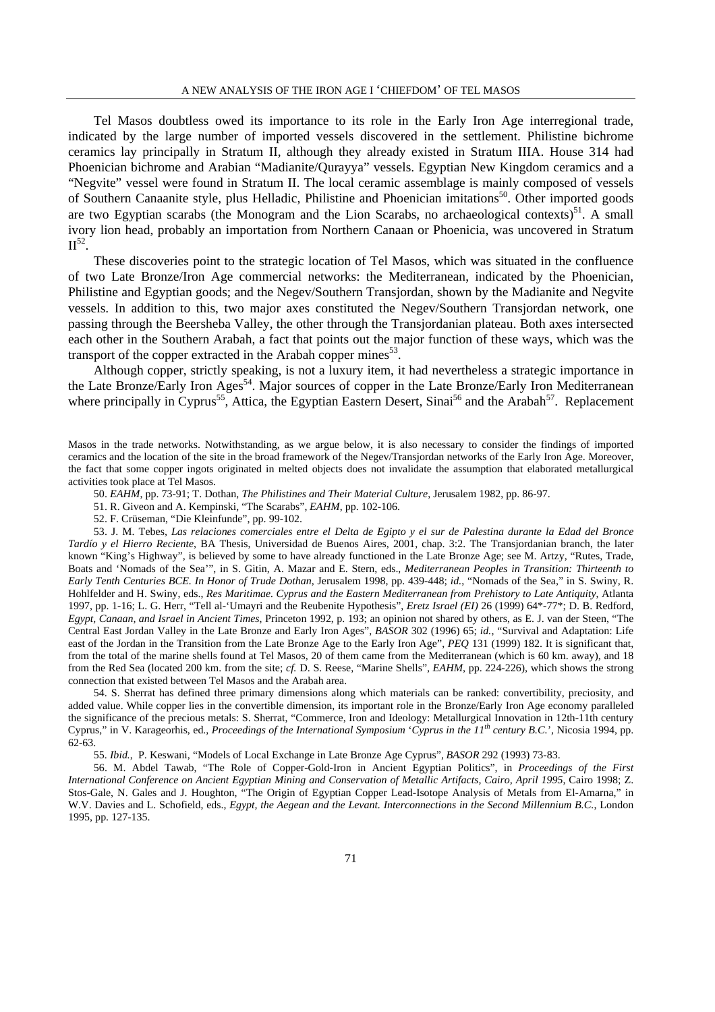Tel Masos doubtless owed its importance to its role in the Early Iron Age interregional trade, indicated by the large number of imported vessels discovered in the settlement. Philistine bichrome ceramics lay principally in Stratum II, although they already existed in Stratum IIIA. House 314 had Phoenician bichrome and Arabian "Madianite/Qurayya" vessels. Egyptian New Kingdom ceramics and a "Negvite" vessel were found in Stratum II. The local ceramic assemblage is mainly composed of vessels of Southern Canaanite style, plus Helladic, Philistine and Phoenician imitations<sup>50</sup>. Other imported goods are two Egyptian scarabs (the Monogram and the Lion Scarabs, no archaeological contexts)<sup>51</sup>. A small ivory lion head, probably an importation from Northern Canaan or Phoenicia, was uncovered in Stratum  $II^{52}$ .

 These discoveries point to the strategic location of Tel Masos, which was situated in the confluence of two Late Bronze/Iron Age commercial networks: the Mediterranean, indicated by the Phoenician, Philistine and Egyptian goods; and the Negev/Southern Transjordan, shown by the Madianite and Negvite vessels. In addition to this, two major axes constituted the Negev/Southern Transjordan network, one passing through the Beersheba Valley, the other through the Transjordanian plateau. Both axes intersected each other in the Southern Arabah, a fact that points out the major function of these ways, which was the transport of the copper extracted in the Arabah copper mines $^{53}$ .

 Although copper, strictly speaking, is not a luxury item, it had nevertheless a strategic importance in the Late Bronze/Early Iron Ages<sup>54</sup>. Major sources of copper in the Late Bronze/Early Iron Mediterranean where principally in Cyprus<sup>55</sup>, Attica, the Egyptian Eastern Desert, Sinai<sup>56</sup> and the Arabah<sup>57</sup>. Replacement

Masos in the trade networks. Notwithstanding, as we argue below, it is also necessary to consider the findings of imported ceramics and the location of the site in the broad framework of the Negev/Transjordan networks of the Early Iron Age. Moreover, the fact that some copper ingots originated in melted objects does not invalidate the assumption that elaborated metallurgical activities took place at Tel Masos.

50. *EAHM*, pp. 73-91; T. Dothan, *The Philistines and Their Material Culture*, Jerusalem 1982, pp. 86-97.

51. R. Giveon and A. Kempinski, "The Scarabs", *EAHM*, pp. 102-106.

52. F. Crüseman, "Die Kleinfunde", pp. 99-102.

53. J. M. Tebes*, Las relaciones comerciales entre el Delta de Egipto y el sur de Palestina durante la Edad del Bronce Tardío y el Hierro Reciente*, BA Thesis, Universidad de Buenos Aires, 2001, chap. 3:2. The Transjordanian branch, the later known "King's Highway", is believed by some to have already functioned in the Late Bronze Age; see M. Artzy, "Rutes, Trade, Boats and 'Nomads of the Sea'", in S. Gitin, A. Mazar and E. Stern, eds., *Mediterranean Peoples in Transition: Thirteenth to Early Tenth Centuries BCE. In Honor of Trude Dothan*, Jerusalem 1998, pp. 439-448; *id.*, "Nomads of the Sea," in S. Swiny, R. Hohlfelder and H. Swiny, eds., *Res Maritimae. Cyprus and the Eastern Mediterranean from Prehistory to Late Antiquity*, Atlanta 1997, pp. 1-16; L. G. Herr, "Tell al-'Umayri and the Reubenite Hypothesis", *Eretz Israel (EI)* 26 (1999) 64\*-77\*; D. B. Redford, *Egypt, Canaan, and Israel in Ancient Times*, Princeton 1992, p. 193; an opinion not shared by others, as E. J. van der Steen, "The Central East Jordan Valley in the Late Bronze and Early Iron Ages", *BASOR* 302 (1996) 65; *id.*, "Survival and Adaptation: Life east of the Jordan in the Transition from the Late Bronze Age to the Early Iron Age", *PEQ* 131 (1999) 182. It is significant that, from the total of the marine shells found at Tel Masos, 20 of them came from the Mediterranean (which is 60 km. away), and 18 from the Red Sea (located 200 km. from the site; *cf.* D. S. Reese, "Marine Shells", *EAHM*, pp. 224-226), which shows the strong connection that existed between Tel Masos and the Arabah area.

54. S. Sherrat has defined three primary dimensions along which materials can be ranked: convertibility, preciosity, and added value. While copper lies in the convertible dimension, its important role in the Bronze/Early Iron Age economy paralleled the significance of the precious metals: S. Sherrat, "Commerce, Iron and Ideology: Metallurgical Innovation in 12th-11th century Cyprus," in V. Karageorhis, ed., *Proceedings of the International Symposium* '*Cyprus in the 11th century B.C.*', Nicosia 1994, pp. 62-63.

55. *Ibid.*, P. Keswani, "Models of Local Exchange in Late Bronze Age Cyprus", *BASOR* 292 (1993) 73-83.

56. M. Abdel Tawab, "The Role of Copper-Gold-Iron in Ancient Egyptian Politics", in *Proceedings of the First International Conference on Ancient Egyptian Mining and Conservation of Metallic Artifacts, Cairo, April 1995*, Cairo 1998; Z. Stos-Gale, N. Gales and J. Houghton, "The Origin of Egyptian Copper Lead-Isotope Analysis of Metals from El-Amarna," in W.V. Davies and L. Schofield, eds., *Egypt, the Aegean and the Levant. Interconnections in the Second Millennium B.C.*, London 1995, pp. 127-135.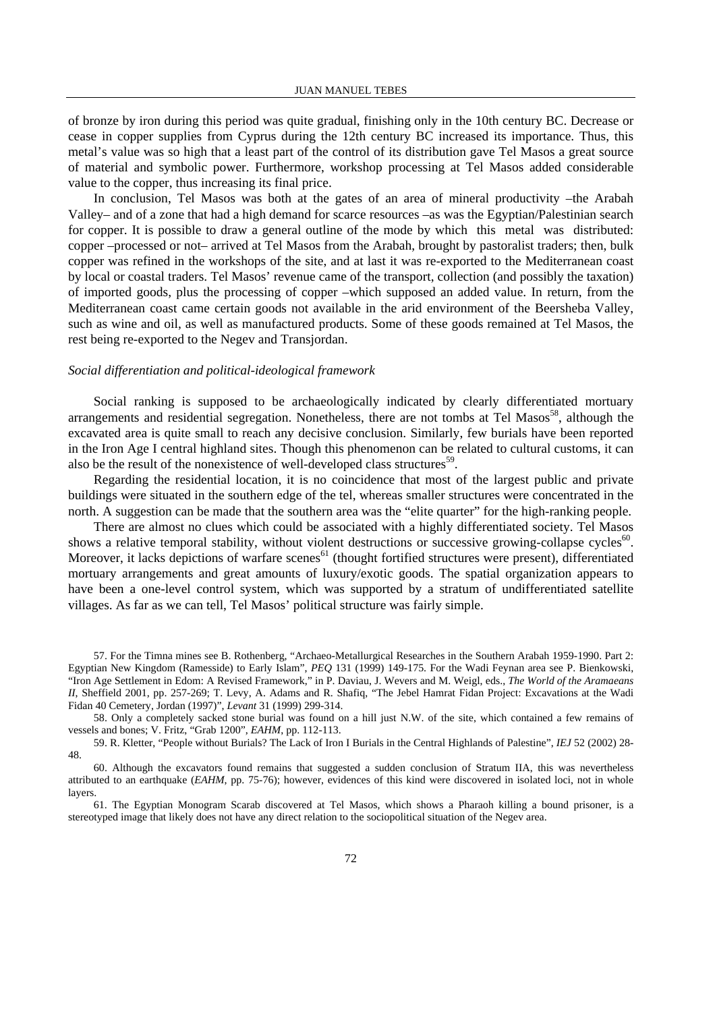of bronze by iron during this period was quite gradual, finishing only in the 10th century BC. Decrease or cease in copper supplies from Cyprus during the 12th century BC increased its importance. Thus, this metal's value was so high that a least part of the control of its distribution gave Tel Masos a great source of material and symbolic power. Furthermore, workshop processing at Tel Masos added considerable value to the copper, thus increasing its final price.

 In conclusion, Tel Masos was both at the gates of an area of mineral productivity –the Arabah Valley– and of a zone that had a high demand for scarce resources –as was the Egyptian/Palestinian search for copper. It is possible to draw a general outline of the mode by which this metal was distributed: copper –processed or not– arrived at Tel Masos from the Arabah, brought by pastoralist traders; then, bulk copper was refined in the workshops of the site, and at last it was re-exported to the Mediterranean coast by local or coastal traders. Tel Masos' revenue came of the transport, collection (and possibly the taxation) of imported goods, plus the processing of copper –which supposed an added value. In return, from the Mediterranean coast came certain goods not available in the arid environment of the Beersheba Valley, such as wine and oil, as well as manufactured products. Some of these goods remained at Tel Masos, the rest being re-exported to the Negev and Transjordan.

#### *Social differentiation and political-ideological framework*

 Social ranking is supposed to be archaeologically indicated by clearly differentiated mortuary arrangements and residential segregation. Nonetheless, there are not tombs at Tel Masos<sup>58</sup>, although the excavated area is quite small to reach any decisive conclusion. Similarly, few burials have been reported in the Iron Age I central highland sites. Though this phenomenon can be related to cultural customs, it can also be the result of the nonexistence of well-developed class structures<sup>59</sup>.

 Regarding the residential location, it is no coincidence that most of the largest public and private buildings were situated in the southern edge of the tel, whereas smaller structures were concentrated in the north. A suggestion can be made that the southern area was the "elite quarter" for the high-ranking people.

 There are almost no clues which could be associated with a highly differentiated society. Tel Masos shows a relative temporal stability, without violent destructions or successive growing-collapse cycles<sup>60</sup>. Moreover, it lacks depictions of warfare scenes<sup>61</sup> (thought fortified structures were present), differentiated mortuary arrangements and great amounts of luxury/exotic goods. The spatial organization appears to have been a one-level control system, which was supported by a stratum of undifferentiated satellite villages. As far as we can tell, Tel Masos' political structure was fairly simple.

57. For the Timna mines see B. Rothenberg, "Archaeo-Metallurgical Researches in the Southern Arabah 1959-1990. Part 2: Egyptian New Kingdom (Ramesside) to Early Islam", *PEQ* 131 (1999) 149-175. For the Wadi Feynan area see P. Bienkowski, "Iron Age Settlement in Edom: A Revised Framework," in P. Daviau, J. Wevers and M. Weigl, eds., *The World of the Aramaeans II*, Sheffield 2001, pp. 257-269; T. Levy, A. Adams and R. Shafiq, "The Jebel Hamrat Fidan Project: Excavations at the Wadi Fidan 40 Cemetery, Jordan (1997)", *Levant* 31 (1999) 299-314.

58. Only a completely sacked stone burial was found on a hill just N.W. of the site, which contained a few remains of vessels and bones; V. Fritz, "Grab 1200", *EAHM*, pp. 112-113.

59. R. Kletter, "People without Burials? The Lack of Iron I Burials in the Central Highlands of Palestine", *IEJ* 52 (2002) 28- 48.

60. Although the excavators found remains that suggested a sudden conclusion of Stratum IIA, this was nevertheless attributed to an earthquake (*EAHM*, pp. 75-76); however, evidences of this kind were discovered in isolated loci, not in whole layers.

61. The Egyptian Monogram Scarab discovered at Tel Masos, which shows a Pharaoh killing a bound prisoner, is a stereotyped image that likely does not have any direct relation to the sociopolitical situation of the Negev area.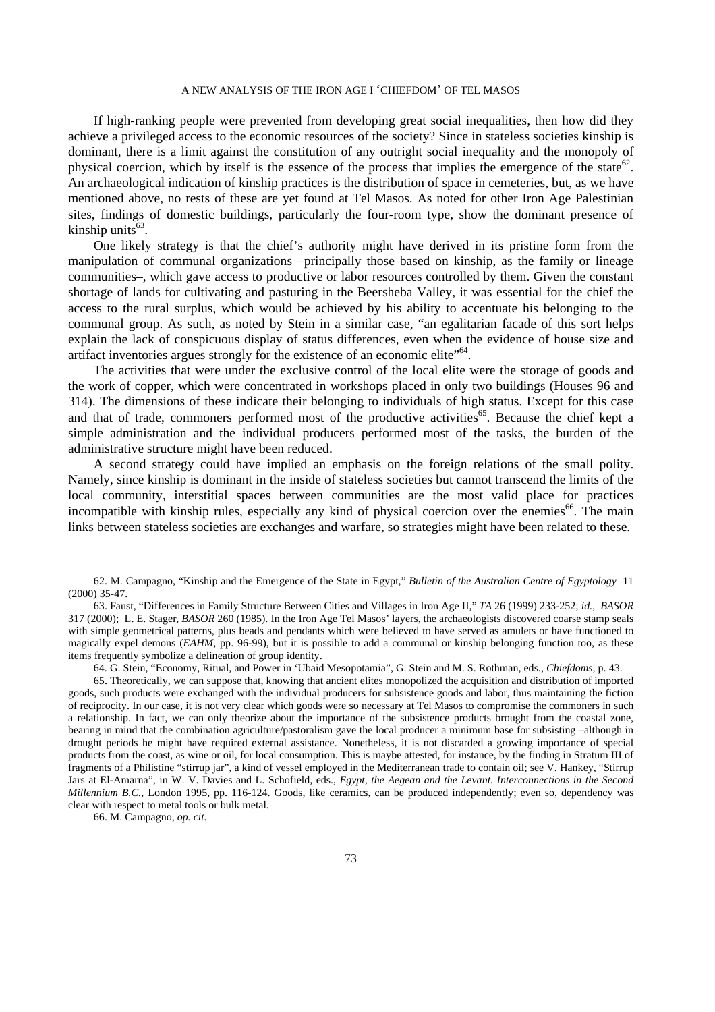If high-ranking people were prevented from developing great social inequalities, then how did they achieve a privileged access to the economic resources of the society? Since in stateless societies kinship is dominant, there is a limit against the constitution of any outright social inequality and the monopoly of physical coercion, which by itself is the essence of the process that implies the emergence of the state<sup>62</sup>. An archaeological indication of kinship practices is the distribution of space in cemeteries, but, as we have mentioned above, no rests of these are yet found at Tel Masos. As noted for other Iron Age Palestinian sites, findings of domestic buildings, particularly the four-room type, show the dominant presence of kinship units $63$ .

 One likely strategy is that the chief's authority might have derived in its pristine form from the manipulation of communal organizations –principally those based on kinship, as the family or lineage communities–, which gave access to productive or labor resources controlled by them. Given the constant shortage of lands for cultivating and pasturing in the Beersheba Valley, it was essential for the chief the access to the rural surplus, which would be achieved by his ability to accentuate his belonging to the communal group. As such, as noted by Stein in a similar case, "an egalitarian facade of this sort helps explain the lack of conspicuous display of status differences, even when the evidence of house size and artifact inventories argues strongly for the existence of an economic elite<sup>"64</sup>.

 The activities that were under the exclusive control of the local elite were the storage of goods and the work of copper, which were concentrated in workshops placed in only two buildings (Houses 96 and 314). The dimensions of these indicate their belonging to individuals of high status. Except for this case and that of trade, commoners performed most of the productive activities<sup>65</sup>. Because the chief kept a simple administration and the individual producers performed most of the tasks, the burden of the administrative structure might have been reduced.

 A second strategy could have implied an emphasis on the foreign relations of the small polity. Namely, since kinship is dominant in the inside of stateless societies but cannot transcend the limits of the local community, interstitial spaces between communities are the most valid place for practices incompatible with kinship rules, especially any kind of physical coercion over the enemies<sup>66</sup>. The main links between stateless societies are exchanges and warfare, so strategies might have been related to these.

62. M. Campagno, "Kinship and the Emergence of the State in Egypt," *Bulletin of the Australian Centre of Egyptology* 11 (2000) 35-47.

63. Faust, "Differences in Family Structure Between Cities and Villages in Iron Age II," *TA* 26 (1999) 233-252; *id.*, *BASOR* 317 (2000); L. E. Stager, *BASOR* 260 (1985). In the Iron Age Tel Masos' layers, the archaeologists discovered coarse stamp seals with simple geometrical patterns, plus beads and pendants which were believed to have served as amulets or have functioned to magically expel demons (*EAHM*, pp. 96-99), but it is possible to add a communal or kinship belonging function too, as these items frequently symbolize a delineation of group identity.

64. G. Stein, "Economy, Ritual, and Power in 'Ubaid Mesopotamia", G. Stein and M. S. Rothman, eds., *Chiefdoms*, p. 43.

65. Theoretically, we can suppose that, knowing that ancient elites monopolized the acquisition and distribution of imported goods, such products were exchanged with the individual producers for subsistence goods and labor, thus maintaining the fiction of reciprocity. In our case, it is not very clear which goods were so necessary at Tel Masos to compromise the commoners in such a relationship. In fact, we can only theorize about the importance of the subsistence products brought from the coastal zone, bearing in mind that the combination agriculture/pastoralism gave the local producer a minimum base for subsisting –although in drought periods he might have required external assistance. Nonetheless, it is not discarded a growing importance of special products from the coast, as wine or oil, for local consumption. This is maybe attested, for instance, by the finding in Stratum III of fragments of a Philistine "stirrup jar", a kind of vessel employed in the Mediterranean trade to contain oil; see V. Hankey, "Stirrup Jars at El-Amarna", in W. V. Davies and L. Schofield, eds., *Egypt, the Aegean and the Levant. Interconnections in the Second Millennium B.C.*, London 1995, pp. 116-124. Goods, like ceramics, can be produced independently; even so, dependency was clear with respect to metal tools or bulk metal.

66. M. Campagno, *op. cit.*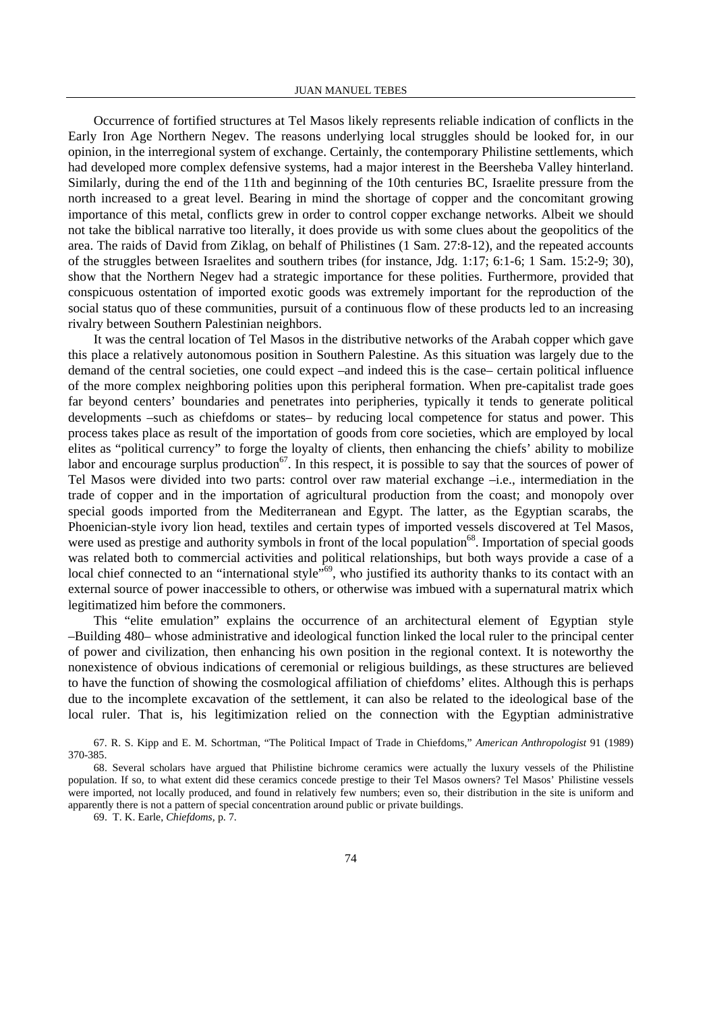Occurrence of fortified structures at Tel Masos likely represents reliable indication of conflicts in the Early Iron Age Northern Negev. The reasons underlying local struggles should be looked for, in our opinion, in the interregional system of exchange. Certainly, the contemporary Philistine settlements, which had developed more complex defensive systems, had a major interest in the Beersheba Valley hinterland. Similarly, during the end of the 11th and beginning of the 10th centuries BC, Israelite pressure from the north increased to a great level. Bearing in mind the shortage of copper and the concomitant growing importance of this metal, conflicts grew in order to control copper exchange networks. Albeit we should not take the biblical narrative too literally, it does provide us with some clues about the geopolitics of the area. The raids of David from Ziklag, on behalf of Philistines (1 Sam. 27:8-12), and the repeated accounts of the struggles between Israelites and southern tribes (for instance, Jdg. 1:17; 6:1-6; 1 Sam. 15:2-9; 30), show that the Northern Negev had a strategic importance for these polities. Furthermore, provided that conspicuous ostentation of imported exotic goods was extremely important for the reproduction of the social status quo of these communities, pursuit of a continuous flow of these products led to an increasing rivalry between Southern Palestinian neighbors.

 It was the central location of Tel Masos in the distributive networks of the Arabah copper which gave this place a relatively autonomous position in Southern Palestine. As this situation was largely due to the demand of the central societies, one could expect –and indeed this is the case– certain political influence of the more complex neighboring polities upon this peripheral formation. When pre-capitalist trade goes far beyond centers' boundaries and penetrates into peripheries, typically it tends to generate political developments –such as chiefdoms or states– by reducing local competence for status and power. This process takes place as result of the importation of goods from core societies, which are employed by local elites as "political currency" to forge the loyalty of clients, then enhancing the chiefs' ability to mobilize labor and encourage surplus production<sup>67</sup>. In this respect, it is possible to say that the sources of power of Tel Masos were divided into two parts: control over raw material exchange –i.e., intermediation in the trade of copper and in the importation of agricultural production from the coast; and monopoly over special goods imported from the Mediterranean and Egypt. The latter, as the Egyptian scarabs, the Phoenician-style ivory lion head, textiles and certain types of imported vessels discovered at Tel Masos, were used as prestige and authority symbols in front of the local population<sup>68</sup>. Importation of special goods was related both to commercial activities and political relationships, but both ways provide a case of a local chief connected to an "international style"<sup>69</sup>, who justified its authority thanks to its contact with an external source of power inaccessible to others, or otherwise was imbued with a supernatural matrix which legitimatized him before the commoners.

 This "elite emulation" explains the occurrence of an architectural element of Egyptian style –Building 480– whose administrative and ideological function linked the local ruler to the principal center of power and civilization, then enhancing his own position in the regional context. It is noteworthy the nonexistence of obvious indications of ceremonial or religious buildings, as these structures are believed to have the function of showing the cosmological affiliation of chiefdoms' elites. Although this is perhaps due to the incomplete excavation of the settlement, it can also be related to the ideological base of the local ruler. That is, his legitimization relied on the connection with the Egyptian administrative

67. R. S. Kipp and E. M. Schortman, "The Political Impact of Trade in Chiefdoms," *American Anthropologist* 91 (1989) 370-385.

68. Several scholars have argued that Philistine bichrome ceramics were actually the luxury vessels of the Philistine population. If so, to what extent did these ceramics concede prestige to their Tel Masos owners? Tel Masos' Philistine vessels were imported, not locally produced, and found in relatively few numbers; even so, their distribution in the site is uniform and apparently there is not a pattern of special concentration around public or private buildings.

69. T. K. Earle, *Chiefdoms,* p. 7.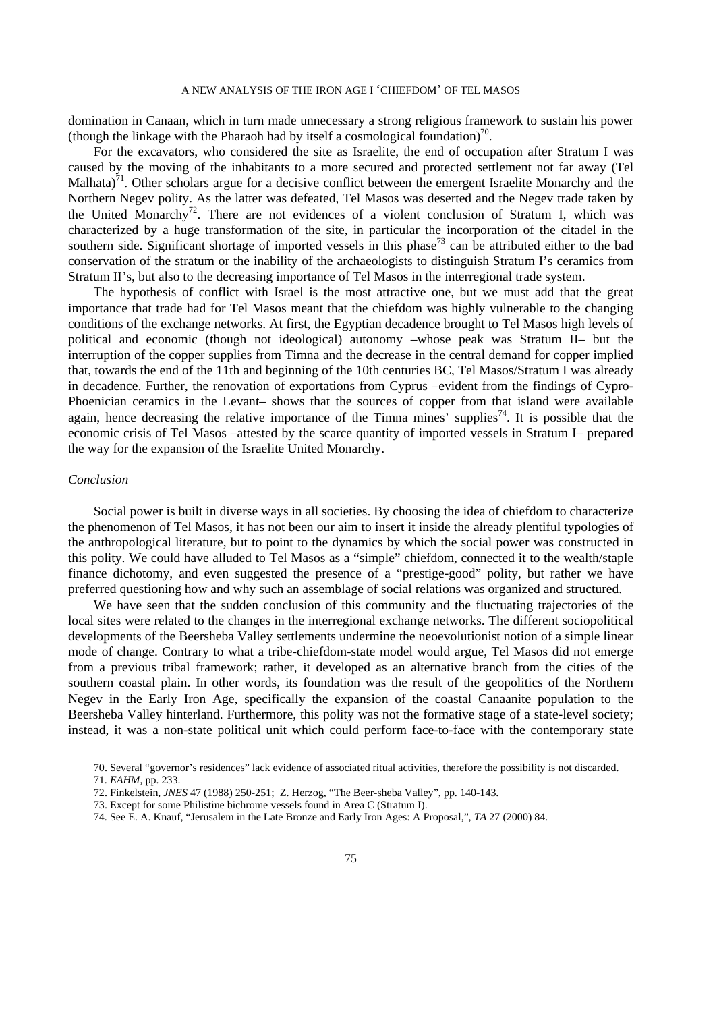domination in Canaan, which in turn made unnecessary a strong religious framework to sustain his power (though the linkage with the Pharaoh had by itself a cosmological foundation)<sup>70</sup>.

 For the excavators, who considered the site as Israelite, the end of occupation after Stratum I was caused by the moving of the inhabitants to a more secured and protected settlement not far away (Tel Malhata)<sup>71</sup>. Other scholars argue for a decisive conflict between the emergent Israelite Monarchy and the Northern Negev polity. As the latter was defeated, Tel Masos was deserted and the Negev trade taken by the United Monarchy<sup>72</sup>. There are not evidences of a violent conclusion of Stratum I, which was characterized by a huge transformation of the site, in particular the incorporation of the citadel in the southern side. Significant shortage of imported vessels in this phase<sup>73</sup> can be attributed either to the bad conservation of the stratum or the inability of the archaeologists to distinguish Stratum I's ceramics from Stratum II's, but also to the decreasing importance of Tel Masos in the interregional trade system.

 The hypothesis of conflict with Israel is the most attractive one, but we must add that the great importance that trade had for Tel Masos meant that the chiefdom was highly vulnerable to the changing conditions of the exchange networks. At first, the Egyptian decadence brought to Tel Masos high levels of political and economic (though not ideological) autonomy –whose peak was Stratum II– but the interruption of the copper supplies from Timna and the decrease in the central demand for copper implied that, towards the end of the 11th and beginning of the 10th centuries BC, Tel Masos/Stratum I was already in decadence. Further, the renovation of exportations from Cyprus –evident from the findings of Cypro-Phoenician ceramics in the Levant– shows that the sources of copper from that island were available again, hence decreasing the relative importance of the Timna mines' supplies<sup>74</sup>. It is possible that the economic crisis of Tel Masos –attested by the scarce quantity of imported vessels in Stratum I– prepared the way for the expansion of the Israelite United Monarchy.

## *Conclusion*

 Social power is built in diverse ways in all societies. By choosing the idea of chiefdom to characterize the phenomenon of Tel Masos, it has not been our aim to insert it inside the already plentiful typologies of the anthropological literature, but to point to the dynamics by which the social power was constructed in this polity. We could have alluded to Tel Masos as a "simple" chiefdom, connected it to the wealth/staple finance dichotomy, and even suggested the presence of a "prestige-good" polity, but rather we have preferred questioning how and why such an assemblage of social relations was organized and structured.

 We have seen that the sudden conclusion of this community and the fluctuating trajectories of the local sites were related to the changes in the interregional exchange networks. The different sociopolitical developments of the Beersheba Valley settlements undermine the neoevolutionist notion of a simple linear mode of change. Contrary to what a tribe-chiefdom-state model would argue, Tel Masos did not emerge from a previous tribal framework; rather, it developed as an alternative branch from the cities of the southern coastal plain. In other words, its foundation was the result of the geopolitics of the Northern Negev in the Early Iron Age, specifically the expansion of the coastal Canaanite population to the Beersheba Valley hinterland. Furthermore, this polity was not the formative stage of a state-level society; instead, it was a non-state political unit which could perform face-to-face with the contemporary state

<sup>70.</sup> Several "governor's residences" lack evidence of associated ritual activities, therefore the possibility is not discarded. 71. *EAHM*, pp. 233.

<sup>72.</sup> Finkelstein, *JNES* 47 (1988) 250-251; Z. Herzog, "The Beer-sheba Valley", pp. 140-143.

<sup>73.</sup> Except for some Philistine bichrome vessels found in Area C (Stratum I).

<sup>74.</sup> See E. A. Knauf, "Jerusalem in the Late Bronze and Early Iron Ages: A Proposal,"*, TA* 27 (2000) 84.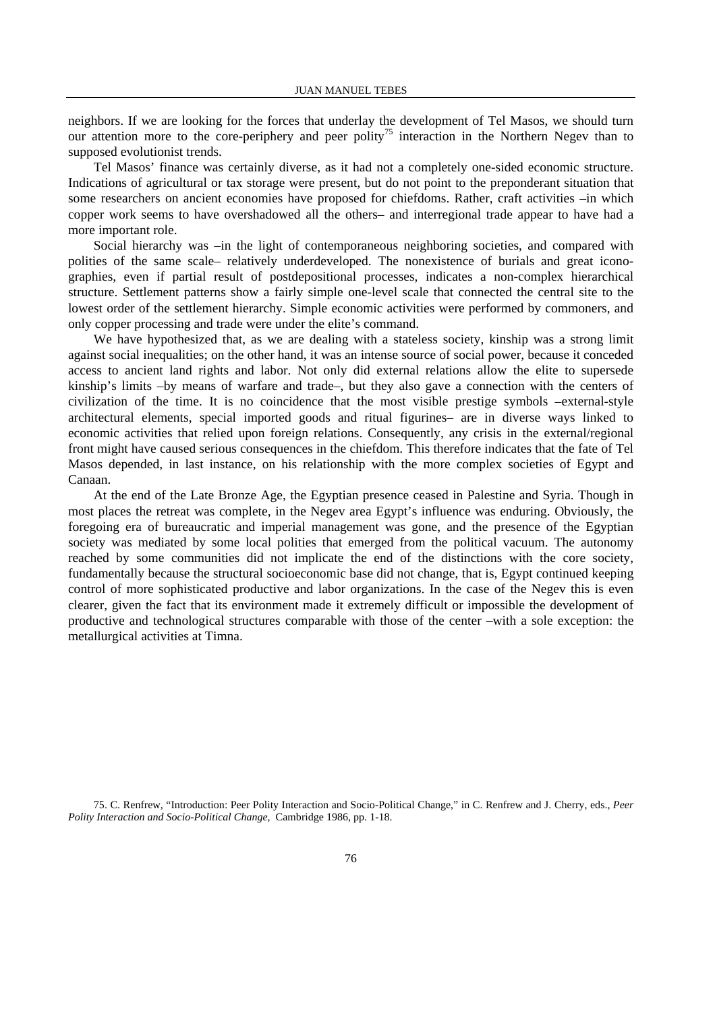neighbors. If we are looking for the forces that underlay the development of Tel Masos, we should turn our attention more to the core-periphery and peer polity<sup>75</sup> interaction in the Northern Negev than to supposed evolutionist trends.

 Tel Masos' finance was certainly diverse, as it had not a completely one-sided economic structure. Indications of agricultural or tax storage were present, but do not point to the preponderant situation that some researchers on ancient economies have proposed for chiefdoms. Rather, craft activities –in which copper work seems to have overshadowed all the others– and interregional trade appear to have had a more important role.

 Social hierarchy was –in the light of contemporaneous neighboring societies, and compared with polities of the same scale– relatively underdeveloped. The nonexistence of burials and great iconographies, even if partial result of postdepositional processes, indicates a non-complex hierarchical structure. Settlement patterns show a fairly simple one-level scale that connected the central site to the lowest order of the settlement hierarchy. Simple economic activities were performed by commoners, and only copper processing and trade were under the elite's command.

 We have hypothesized that, as we are dealing with a stateless society, kinship was a strong limit against social inequalities; on the other hand, it was an intense source of social power, because it conceded access to ancient land rights and labor. Not only did external relations allow the elite to supersede kinship's limits –by means of warfare and trade–, but they also gave a connection with the centers of civilization of the time. It is no coincidence that the most visible prestige symbols –external-style architectural elements, special imported goods and ritual figurines– are in diverse ways linked to economic activities that relied upon foreign relations. Consequently, any crisis in the external/regional front might have caused serious consequences in the chiefdom. This therefore indicates that the fate of Tel Masos depended, in last instance, on his relationship with the more complex societies of Egypt and Canaan.

 At the end of the Late Bronze Age, the Egyptian presence ceased in Palestine and Syria. Though in most places the retreat was complete, in the Negev area Egypt's influence was enduring. Obviously, the foregoing era of bureaucratic and imperial management was gone, and the presence of the Egyptian society was mediated by some local polities that emerged from the political vacuum. The autonomy reached by some communities did not implicate the end of the distinctions with the core society, fundamentally because the structural socioeconomic base did not change, that is, Egypt continued keeping control of more sophisticated productive and labor organizations. In the case of the Negev this is even clearer, given the fact that its environment made it extremely difficult or impossible the development of productive and technological structures comparable with those of the center –with a sole exception: the metallurgical activities at Timna.

75. C. Renfrew, "Introduction: Peer Polity Interaction and Socio-Political Change," in C. Renfrew and J. Cherry, eds., *Peer Polity Interaction and Socio-Political Change*, Cambridge 1986, pp. 1-18.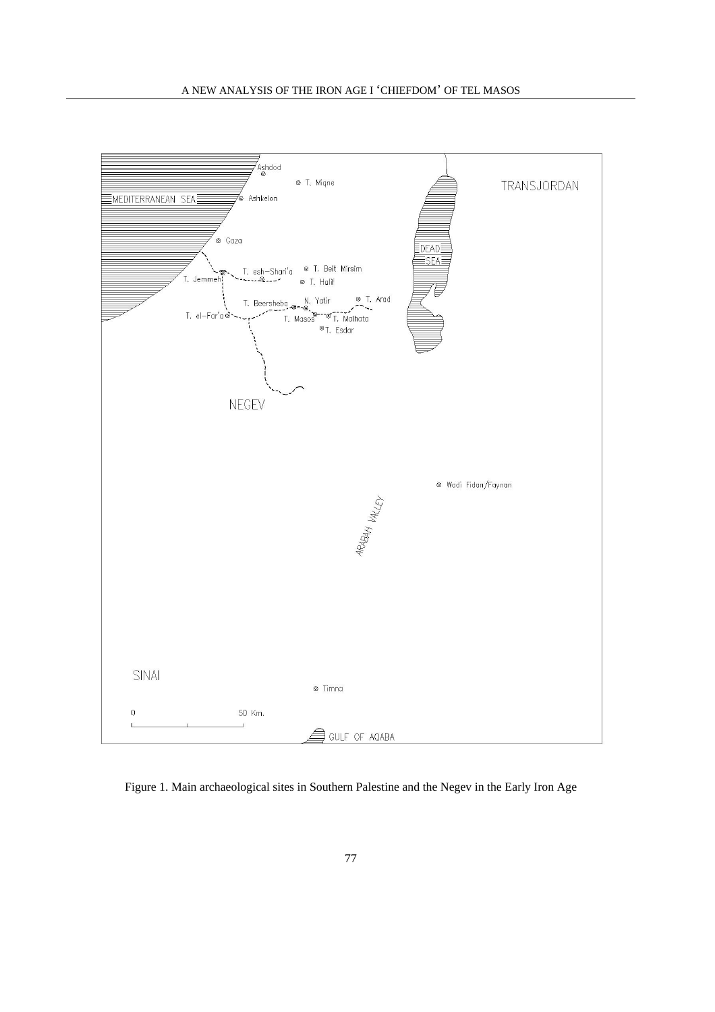

Figure 1. Main archaeological sites in Southern Palestine and the Negev in the Early Iron Age